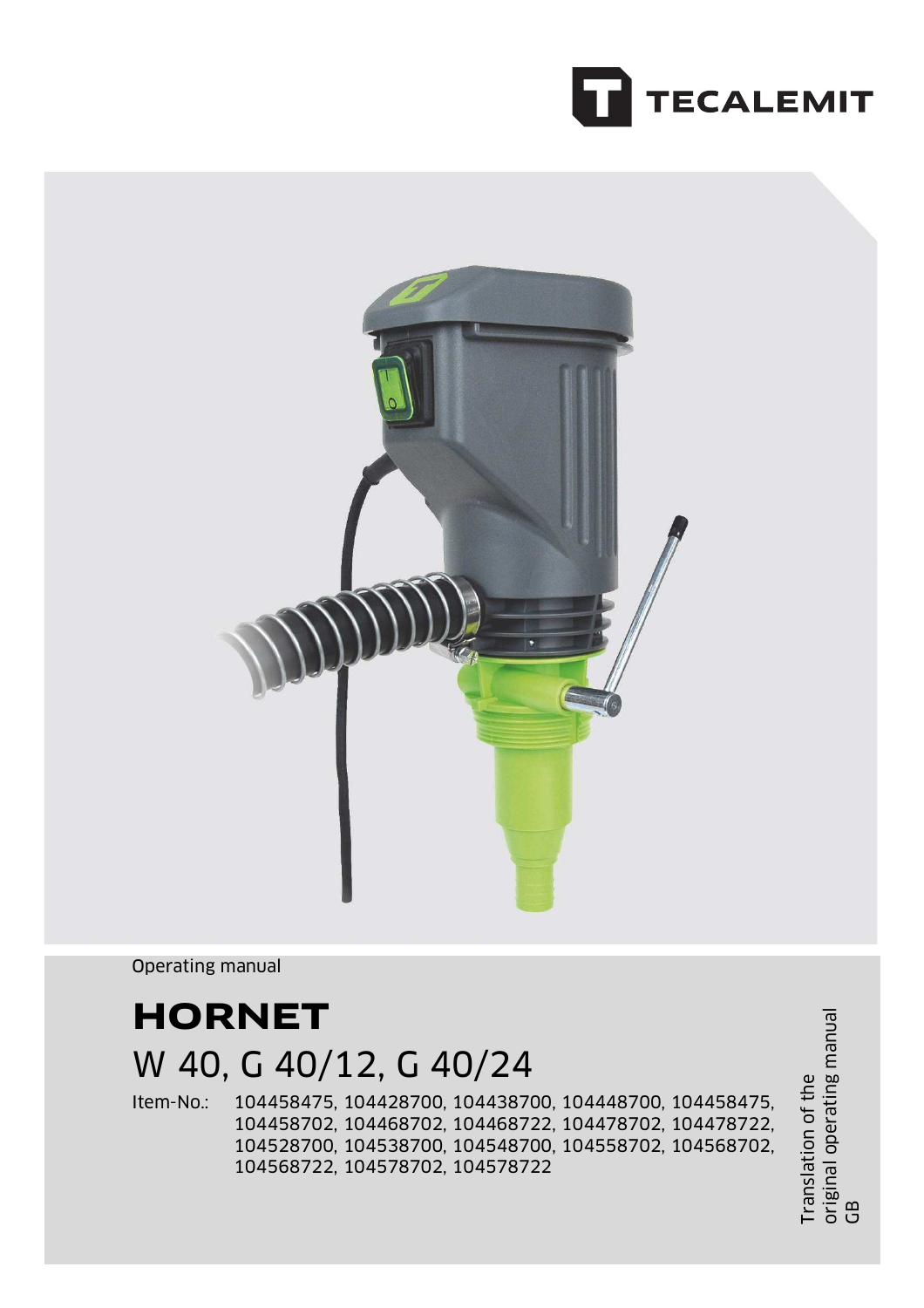



Operating manual

# **HORNET**

## W 40, G 40/12, G 40/24

Item-No.: 104458475, 104428700, 104438700, 104448700, 104458475, 104458702, 104468702, 104468722, 104478702, 104478722, 104528700, 104538700, 104548700, 104558702, 104568702, 104568722, 104578702, 104578722

Translation of the original operating manual Translation of the<br>original operating manual<br>GB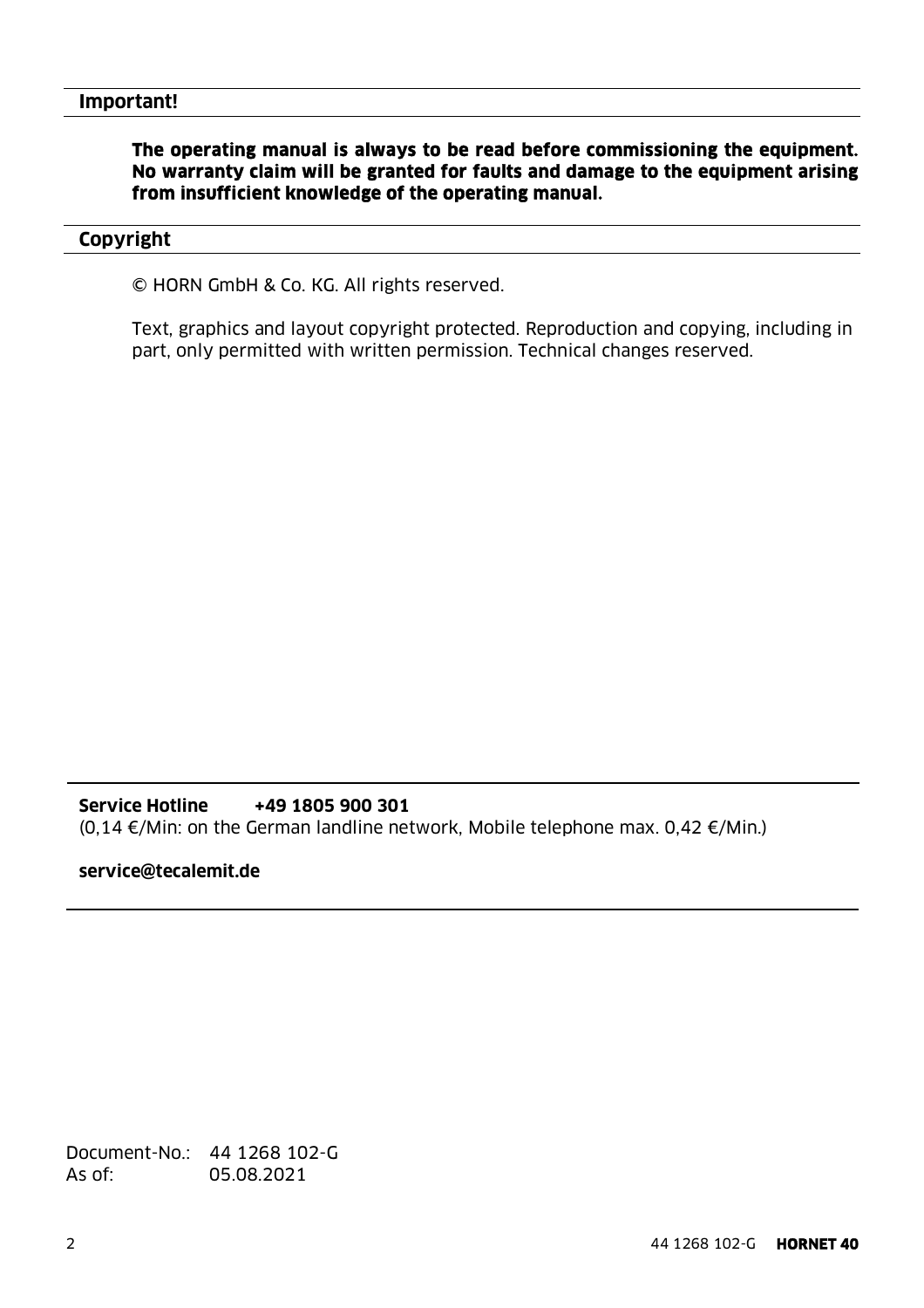### **The operating manual is always to be read before commissioning the equipment. No warranty claim will be granted for faults and damage to the equipment arising from insufficient knowledge of the operating manual.**

#### **Copyright**

© HORN GmbH & Co. KG. All rights reserved.

Text, graphics and layout copyright protected. Reproduction and copying, including in part, only permitted with written permission. Technical changes reserved.

#### **Service Hotline +49 1805 900 301**

(0,14 €/Min: on the German landline network, Mobile telephone max. 0,42 €/Min.)

#### **service@tecalemit.de**

Document-No.: 44 1268 102-G As of: 05.08.2021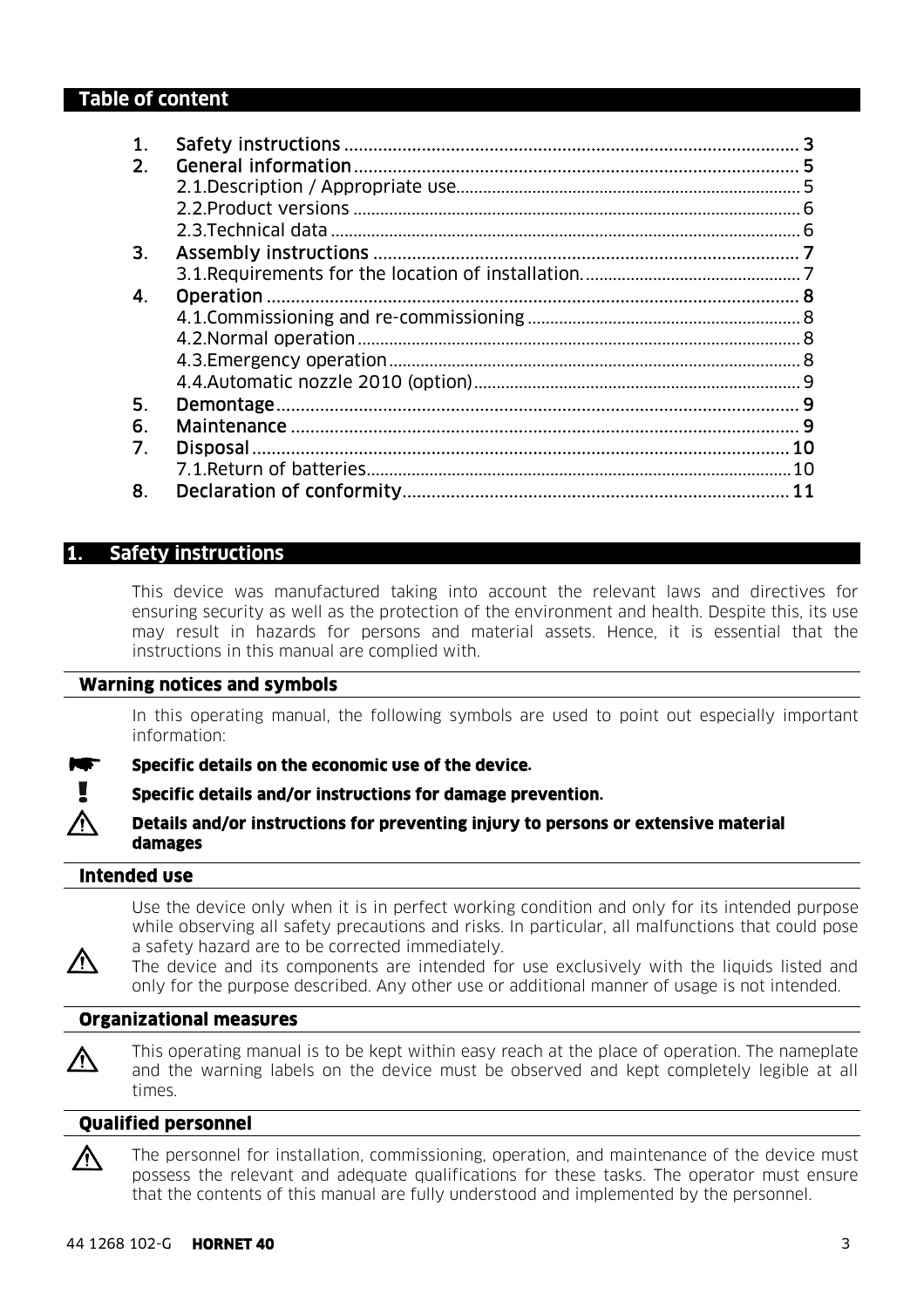### **Table of content**

| 1. |                |
|----|----------------|
| 2. |                |
|    |                |
|    |                |
|    |                |
| 3. |                |
|    |                |
| 4. |                |
|    |                |
|    |                |
|    |                |
|    |                |
| 5. |                |
| 6. |                |
| 7. | 10             |
|    | 1 <sub>0</sub> |
| 8. | 11             |

#### **1. Safety instructions**

This device was manufactured taking into account the relevant laws and directives for ensuring security as well as the protection of the environment and health. Despite this, its use may result in hazards for persons and material assets. Hence, it is essential that the instructions in this manual are complied with.

#### **Warning notices and symbols**

In this operating manual, the following symbols are used to point out especially important information:

**Specific details on the economic use of the device.** 

**Specific details and/or instructions for damage prevention.** 

**Details and/or instructions for preventing injury to persons or extensive material damages** 

#### **Intended use**

Use the device only when it is in perfect working condition and only for its intended purpose while observing all safety precautions and risks. In particular, all malfunctions that could pose a safety hazard are to be corrected immediately.

八 The device and its components are intended for use exclusively with the liquids listed and only for the purpose described. Any other use or additional manner of usage is not intended.

#### **Organizational measures**



ハ

This operating manual is to be kept within easy reach at the place of operation. The nameplate and the warning labels on the device must be observed and kept completely legible at all times.

#### **Qualified personnel**

The personnel for installation, commissioning, operation, and maintenance of the device must possess the relevant and adequate qualifications for these tasks. The operator must ensure that the contents of this manual are fully understood and implemented by the personnel.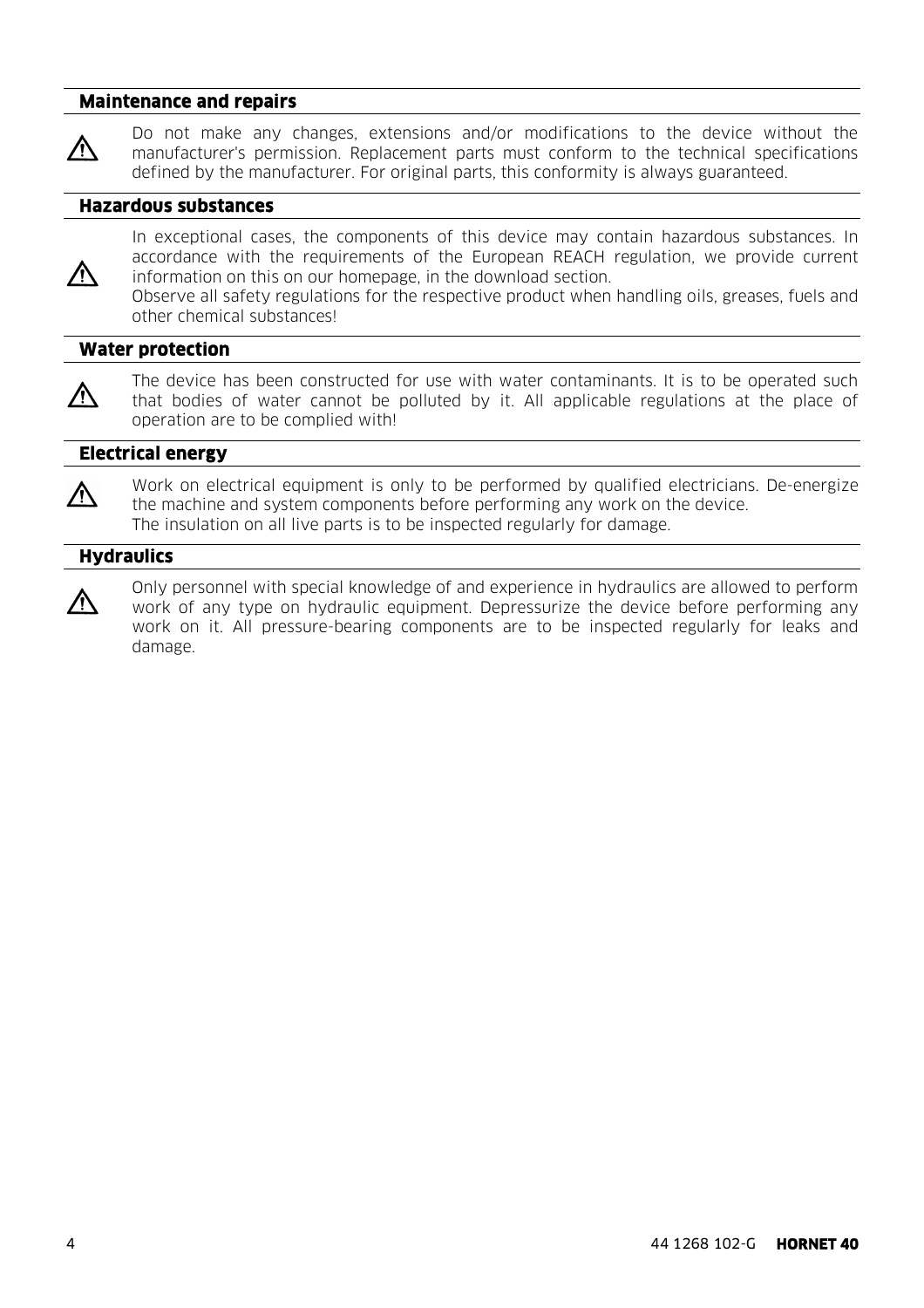#### **Maintenance and repairs**

ЛN

Do not make any changes, extensions and/or modifications to the device without the manufacturer's permission. Replacement parts must conform to the technical specifications defined by the manufacturer. For original parts, this conformity is always guaranteed.

#### **Hazardous substances**

八

In exceptional cases, the components of this device may contain hazardous substances. In accordance with the requirements of the European REACH regulation, we provide current information on this on our homepage, in the download section. Observe all safety regulations for the respective product when handling oils, greases, fuels and other chemical substances!

#### **Water protection**

八

The device has been constructed for use with water contaminants. It is to be operated such that bodies of water cannot be polluted by it. All applicable regulations at the place of operation are to be complied with!

#### **Electrical energy**

八

八

Work on electrical equipment is only to be performed by qualified electricians. De-energize the machine and system components before performing any work on the device. The insulation on all live parts is to be inspected regularly for damage.

### **Hydraulics**

Only personnel with special knowledge of and experience in hydraulics are allowed to perform work of any type on hydraulic equipment. Depressurize the device before performing any work on it. All pressure-bearing components are to be inspected regularly for leaks and damage.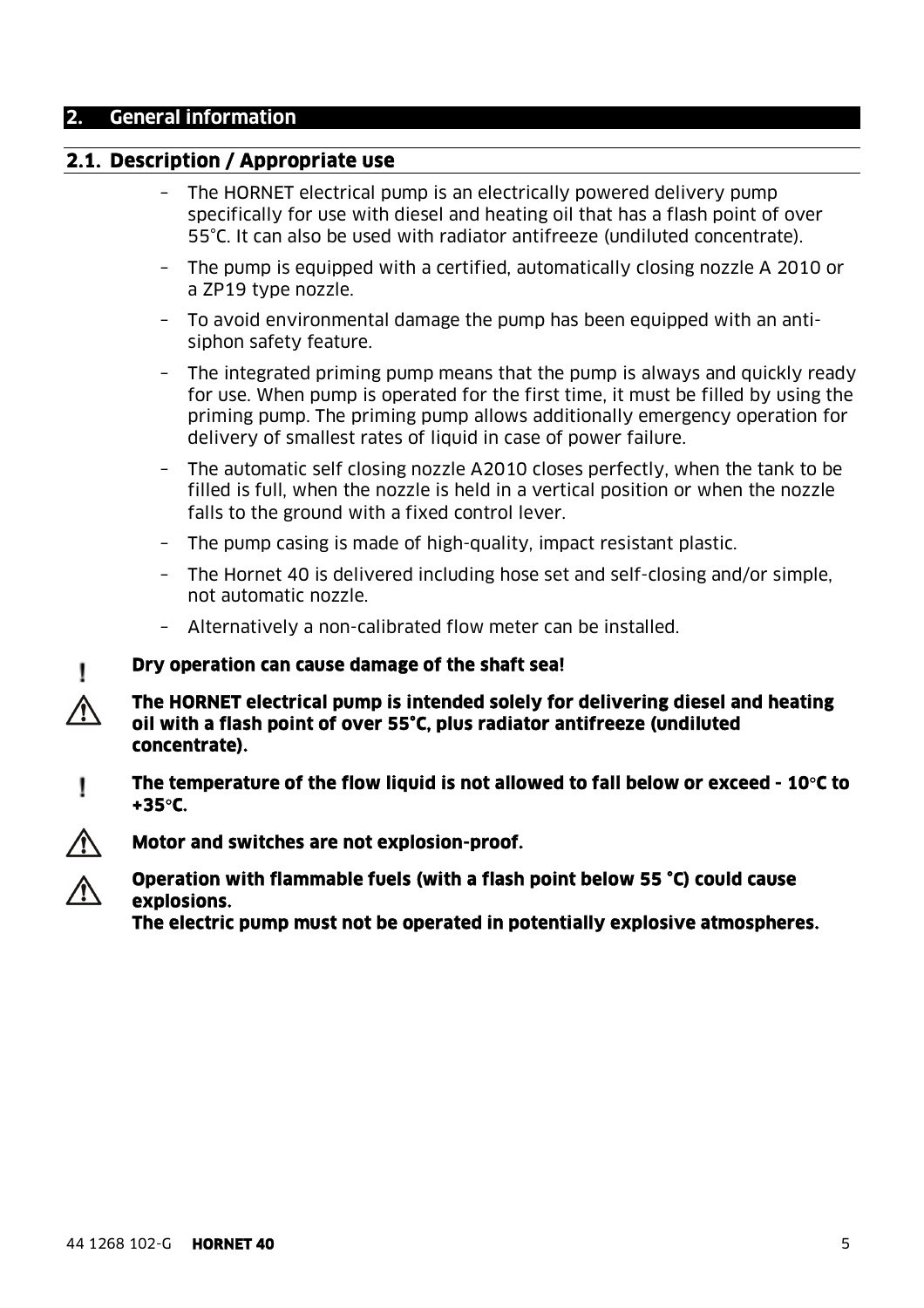#### **2. General information**

### **2.1. Description / Appropriate use**

- The HORNET electrical pump is an electrically powered delivery pump specifically for use with diesel and heating oil that has a flash point of over 55°C. It can also be used with radiator antifreeze (undiluted concentrate).
- The pump is equipped with a certified, automatically closing nozzle A 2010 or a ZP19 type nozzle.
- To avoid environmental damage the pump has been equipped with an antisiphon safety feature.
- The integrated priming pump means that the pump is always and quickly ready for use. When pump is operated for the first time, it must be filled by using the priming pump. The priming pump allows additionally emergency operation for delivery of smallest rates of liquid in case of power failure.
- The automatic self closing nozzle A2010 closes perfectly, when the tank to be filled is full, when the nozzle is held in a vertical position or when the nozzle falls to the ground with a fixed control lever.
- The pump casing is made of high-quality, impact resistant plastic.
- The Hornet 40 is delivered including hose set and self-closing and/or simple, not automatic nozzle.
- Alternatively a non-calibrated flow meter can be installed.

#### **Dry operation can cause damage of the shaft sea!**

- **The HORNET electrical pump is intended solely for delivering diesel and heating oil with a flash point of over 55°C, plus radiator antifreeze (undiluted concentrate).**
- **The temperature of the flow liquid is not allowed to fall below or exceed 10C to**  Ţ **+35C.**





**The electric pump must not be operated in potentially explosive atmospheres.** 

I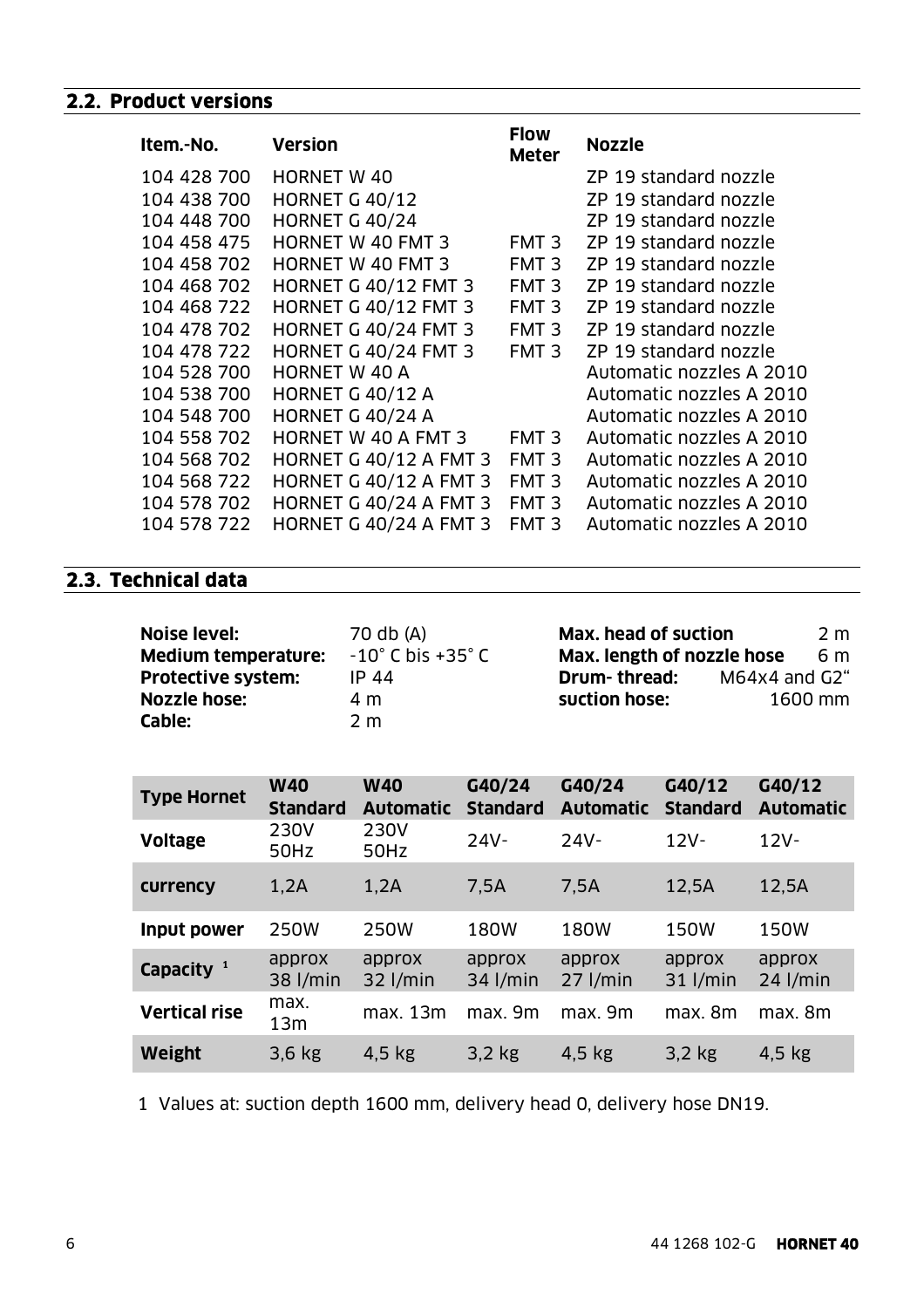### **2.2. Product versions**

| Item.-No.   | <b>Version</b>                | <b>Flow</b><br><b>Meter</b> | <b>Nozzle</b>            |
|-------------|-------------------------------|-----------------------------|--------------------------|
| 104 428 700 | <b>HORNET W 40</b>            |                             | ZP 19 standard nozzle    |
| 104 438 700 | <b>HORNET G 40/12</b>         |                             | ZP 19 standard nozzle    |
| 104 448 700 | <b>HORNET G 40/24</b>         |                             | ZP 19 standard nozzle    |
| 104 458 475 | <b>HORNET W 40 FMT 3</b>      | FMT <sub>3</sub>            | ZP 19 standard nozzle    |
| 104 458 702 | <b>HORNET W 40 FMT 3</b>      | FMT <sub>3</sub>            | ZP 19 standard nozzle    |
| 104 468 702 | <b>HORNET G 40/12 FMT 3</b>   | FMT <sub>3</sub>            | ZP 19 standard nozzle    |
| 104 468 722 | <b>HORNET G 40/12 FMT 3</b>   | FMT <sub>3</sub>            | ZP 19 standard nozzle    |
| 104 478 702 | <b>HORNET G 40/24 FMT 3</b>   | FMT <sub>3</sub>            | ZP 19 standard nozzle    |
| 104 478 722 | <b>HORNET G 40/24 FMT 3</b>   | FMT <sub>3</sub>            | ZP 19 standard nozzle    |
| 104 528 700 | <b>HORNET W 40 A</b>          |                             | Automatic nozzles A 2010 |
| 104 538 700 | <b>HORNET G 40/12 A</b>       |                             | Automatic nozzles A 2010 |
| 104 548 700 | <b>HORNET G 40/24 A</b>       |                             | Automatic nozzles A 2010 |
| 104 558 702 | <b>HORNET W 40 A FMT 3</b>    | FMT <sub>3</sub>            | Automatic nozzles A 2010 |
| 104 568 702 | <b>HORNET G 40/12 A FMT 3</b> | FMT <sub>3</sub>            | Automatic nozzles A 2010 |
| 104 568 722 | <b>HORNET G 40/12 A FMT 3</b> | FMT <sub>3</sub>            | Automatic nozzles A 2010 |
| 104 578 702 | <b>HORNET G 40/24 A FMT 3</b> | FMT <sub>3</sub>            | Automatic nozzles A 2010 |
| 104 578 722 | <b>HORNET G 40/24 A FMT 3</b> | FMT <sub>3</sub>            | Automatic nozzles A 2010 |

### **2.3. Technical data**

| <b>Noise level:</b>        | 70 db (A)                            | Max. head of suction       |                          | 2 m |
|----------------------------|--------------------------------------|----------------------------|--------------------------|-----|
| <b>Medium temperature:</b> | $-10^{\circ}$ C bis +35 $^{\circ}$ C | Max. length of nozzle hose |                          | 6 m |
| <b>Protective system:</b>  | IP 44                                | Drum-thread:               | $M64x4$ and $G2^{\circ}$ |     |
| Nozzle hose:               | 4 m                                  | suction hose:              | 1600 mm                  |     |
| Cable:                     | 2 m                                  |                            |                          |     |

| <b>Type Hornet</b>    | <b>W40</b><br><b>Standard</b> | <b>W40</b><br><b>Automatic</b> | G40/24<br><b>Standard</b> | G40/24<br><b>Automatic</b> | G40/12<br><b>Standard</b> | G40/12<br><b>Automatic</b> |
|-----------------------|-------------------------------|--------------------------------|---------------------------|----------------------------|---------------------------|----------------------------|
| <b>Voltage</b>        | 230V<br>50Hz                  | 230V<br>50Hz                   | $24V -$                   | $24V -$                    | $12V -$                   | $12V -$                    |
| currency              | 1,2A                          | 1,2A                           | 7,5A                      | 7,5A                       | 12,5A                     | 12,5A                      |
| Input power           | 250W                          | 250W                           | 180W                      | <b>180W</b>                | 150W                      | 150W                       |
| Capacity <sup>1</sup> | approx<br>38 l/min            | approx<br>$32$ l/min           | approx<br>$34$ l/min      | approx<br>$27$ l/min       | approx<br>$31$ l/min      | approx<br>$24$ l/min       |
| <b>Vertical rise</b>  | max.<br>13m                   | max. 13m                       | max. 9m                   | max. 9m                    | max. 8m                   | max. 8m                    |
| <b>Weight</b>         | $3,6$ kg                      | $4,5$ kg                       | $3,2$ kg                  | $4,5$ kg                   | $3,2$ kg                  | $4.5$ kg                   |

1 Values at: suction depth 1600 mm, delivery head 0, delivery hose DN19.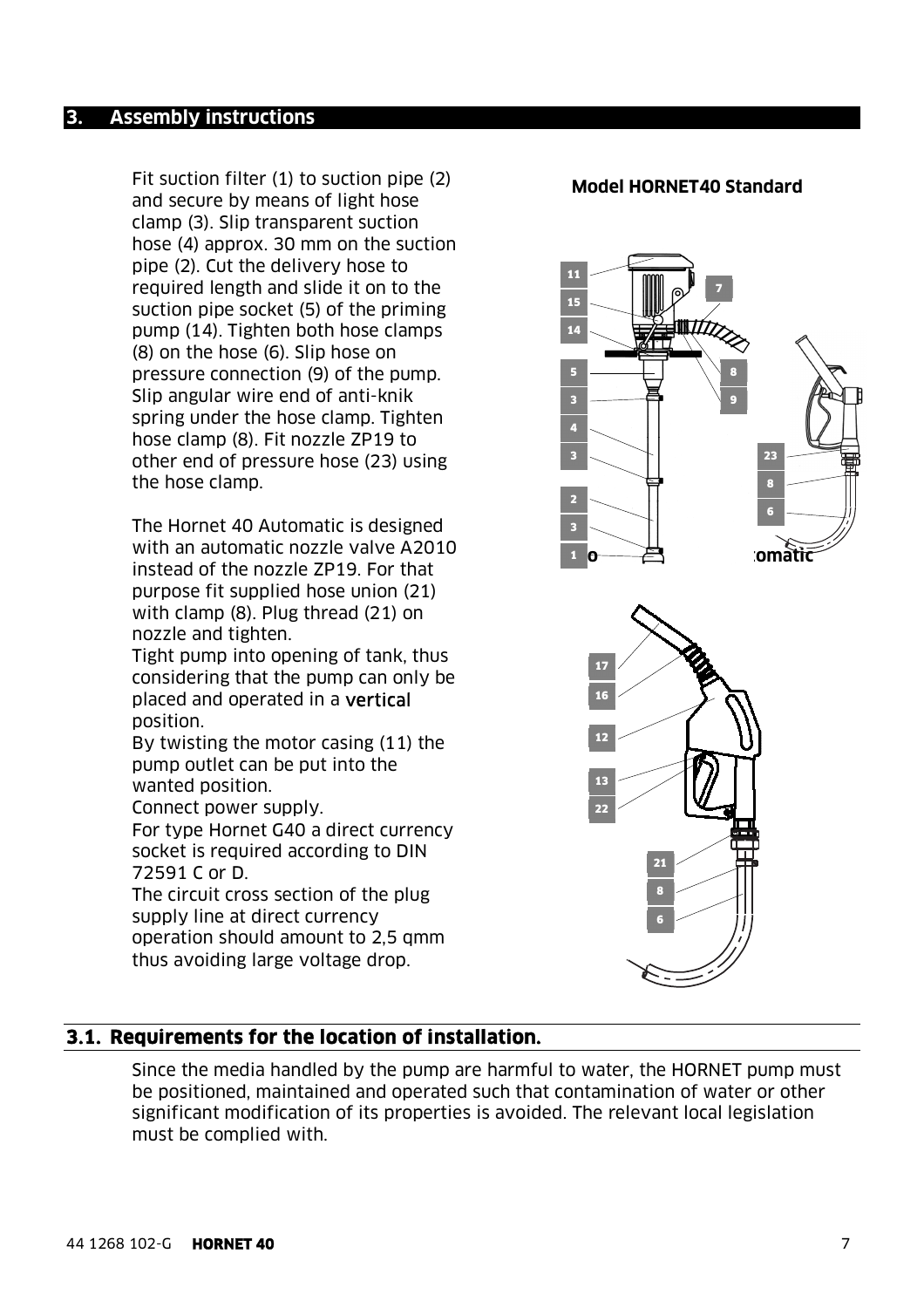Fit suction filter (1) to suction pipe (2) and secure by means of light hose clamp (3). Slip transparent suction hose (4) approx. 30 mm on the suction pipe (2). Cut the delivery hose to required length and slide it on to the suction pipe socket (5) of the priming pump (14). Tighten both hose clamps (8) on the hose (6). Slip hose on pressure connection (9) of the pump. Slip angular wire end of anti-knik spring under the hose clamp. Tighten hose clamp (8). Fit nozzle ZP19 to other end of pressure hose (23) using the hose clamp.

The Hornet 40 Automatic is designed with an automatic nozzle valve A2010 instead of the nozzle ZP19. For that purpose fit supplied hose union (21) with clamp (8). Plug thread (21) on nozzle and tighten.

Tight pump into opening of tank, thus considering that the pump can only be placed and operated in a vertical position.

By twisting the motor casing (11) the pump outlet can be put into the wanted position.

Connect power supply.

For type Hornet G40 a direct currency socket is required according to DIN 72591 C or D.

The circuit cross section of the plug supply line at direct currency operation should amount to 2,5 qmm thus avoiding large voltage drop.

#### **Model HORNET40 Standard**



### **3.1. Requirements for the location of installation.**

Since the media handled by the pump are harmful to water, the HORNET pump must be positioned, maintained and operated such that contamination of water or other significant modification of its properties is avoided. The relevant local legislation must be complied with.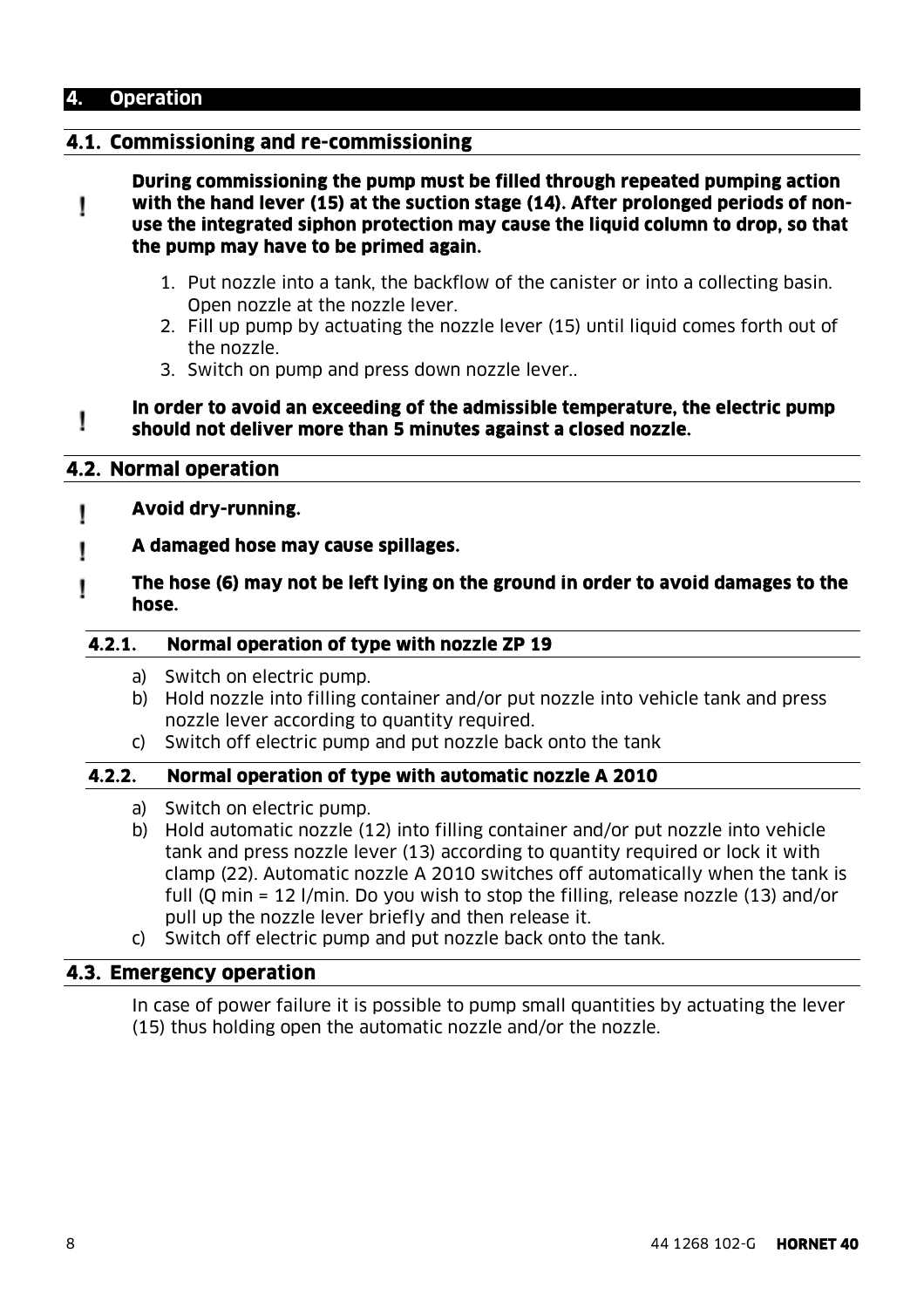### **4. Operation**

### **4.1. Commissioning and re-commissioning**

**During commissioning the pump must be filled through repeated pumping action with the hand lever (15) at the suction stage (14). After prolonged periods of non-**Ţ **use the integrated siphon protection may cause the liquid column to drop, so that the pump may have to be primed again.** 

- 1. Put nozzle into a tank, the backflow of the canister or into a collecting basin. Open nozzle at the nozzle lever.
- 2. Fill up pump by actuating the nozzle lever (15) until liquid comes forth out of the nozzle.
- 3. Switch on pump and press down nozzle lever..

#### **In order to avoid an exceeding of the admissible temperature, the electric pump**  I **should not deliver more than 5 minutes against a closed nozzle.**

### **4.2. Normal operation**

- **Avoid dry-running.**  Ţ
- **A damaged hose may cause spillages.**  I
- **The hose (6) may not be left lying on the ground in order to avoid damages to the**  ۱ **hose.**

#### **4.2.1. Normal operation of type with nozzle ZP 19**

- a) Switch on electric pump.
- b) Hold nozzle into filling container and/or put nozzle into vehicle tank and press nozzle lever according to quantity required.
- c) Switch off electric pump and put nozzle back onto the tank

### **4.2.2. Normal operation of type with automatic nozzle A 2010**

- a) Switch on electric pump.
- b) Hold automatic nozzle (12) into filling container and/or put nozzle into vehicle tank and press nozzle lever (13) according to quantity required or lock it with clamp (22). Automatic nozzle A 2010 switches off automatically when the tank is full (Q min = 12 l/min. Do you wish to stop the filling, release nozzle (13) and/or pull up the nozzle lever briefly and then release it.
- c) Switch off electric pump and put nozzle back onto the tank.

#### **4.3. Emergency operation**

In case of power failure it is possible to pump small quantities by actuating the lever (15) thus holding open the automatic nozzle and/or the nozzle.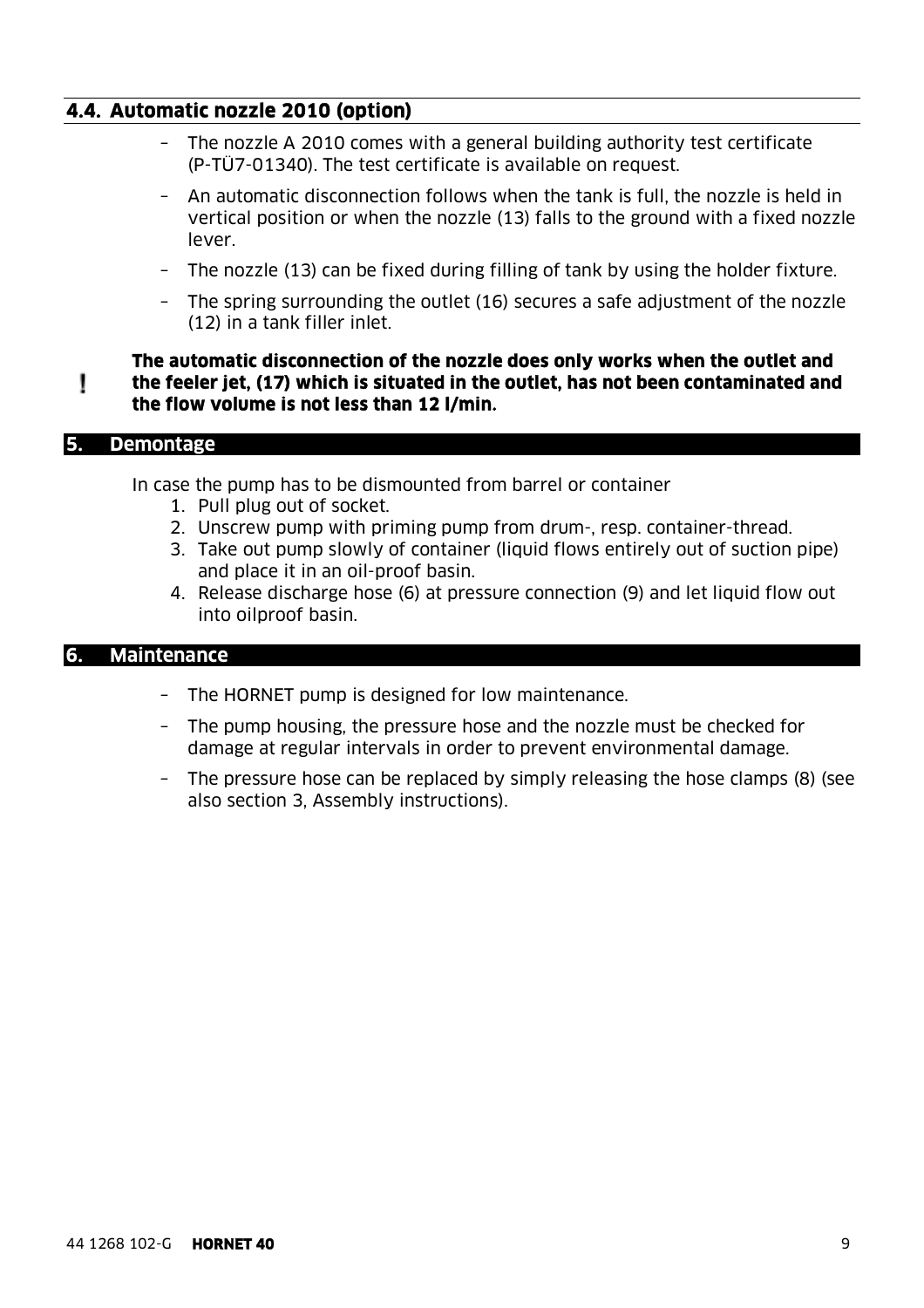### **4.4. Automatic nozzle 2010 (option)**

- The nozzle A 2010 comes with a general building authority test certificate (P-TÜ7-01340). The test certificate is available on request.
- An automatic disconnection follows when the tank is full, the nozzle is held in vertical position or when the nozzle (13) falls to the ground with a fixed nozzle lever.
- The nozzle (13) can be fixed during filling of tank by using the holder fixture.
- The spring surrounding the outlet (16) secures a safe adjustment of the nozzle (12) in a tank filler inlet.

#### **The automatic disconnection of the nozzle does only works when the outlet and the feeler jet, (17) which is situated in the outlet, has not been contaminated and**  Ţ **the flow volume is not less than 12 l/min.**

#### **5. Demontage**

In case the pump has to be dismounted from barrel or container

- 1. Pull plug out of socket.
- 2. Unscrew pump with priming pump from drum-, resp. container-thread.
- 3. Take out pump slowly of container (liquid flows entirely out of suction pipe) and place it in an oil-proof basin.
- 4. Release discharge hose (6) at pressure connection (9) and let liquid flow out into oilproof basin.

#### **6. Maintenance**

- The HORNET pump is designed for low maintenance.
- The pump housing, the pressure hose and the nozzle must be checked for damage at regular intervals in order to prevent environmental damage.
- The pressure hose can be replaced by simply releasing the hose clamps (8) (see also section 3, Assembly instructions).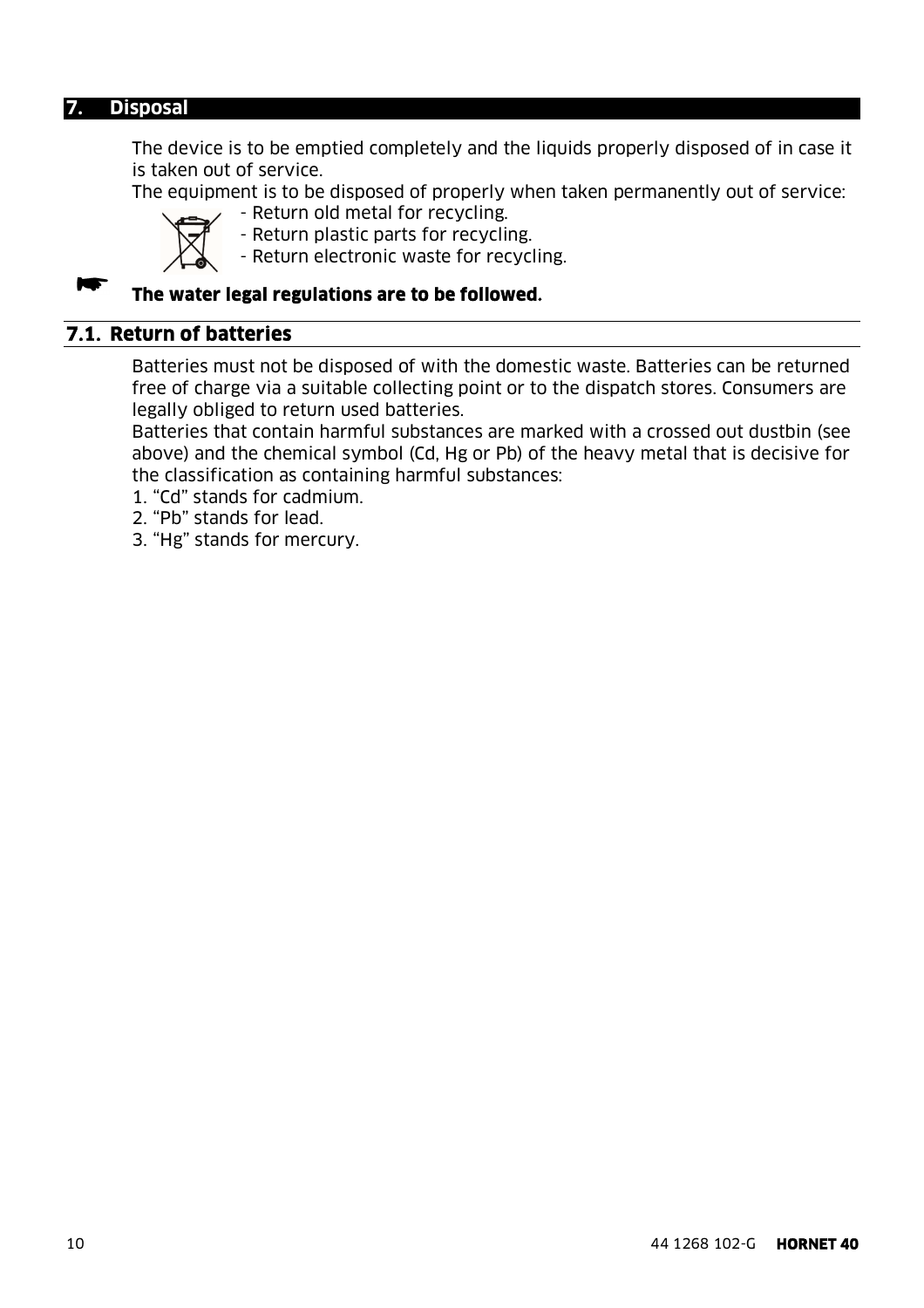#### **7. Disposal**

The device is to be emptied completely and the liquids properly disposed of in case it is taken out of service.

The equipment is to be disposed of properly when taken permanently out of service:

- Return old metal for recycling. - Return plastic parts for recycling.

- Return electronic waste for recycling.

#### **The water legal regulations are to be followed.**

### **7.1. Return of batteries**

Batteries must not be disposed of with the domestic waste. Batteries can be returned free of charge via a suitable collecting point or to the dispatch stores. Consumers are legally obliged to return used batteries.

Batteries that contain harmful substances are marked with a crossed out dustbin (see above) and the chemical symbol (Cd, Hg or Pb) of the heavy metal that is decisive for the classification as containing harmful substances:

- 1. "Cd" stands for cadmium.
- 2. "Pb" stands for lead.
- 3. "Hg" stands for mercury.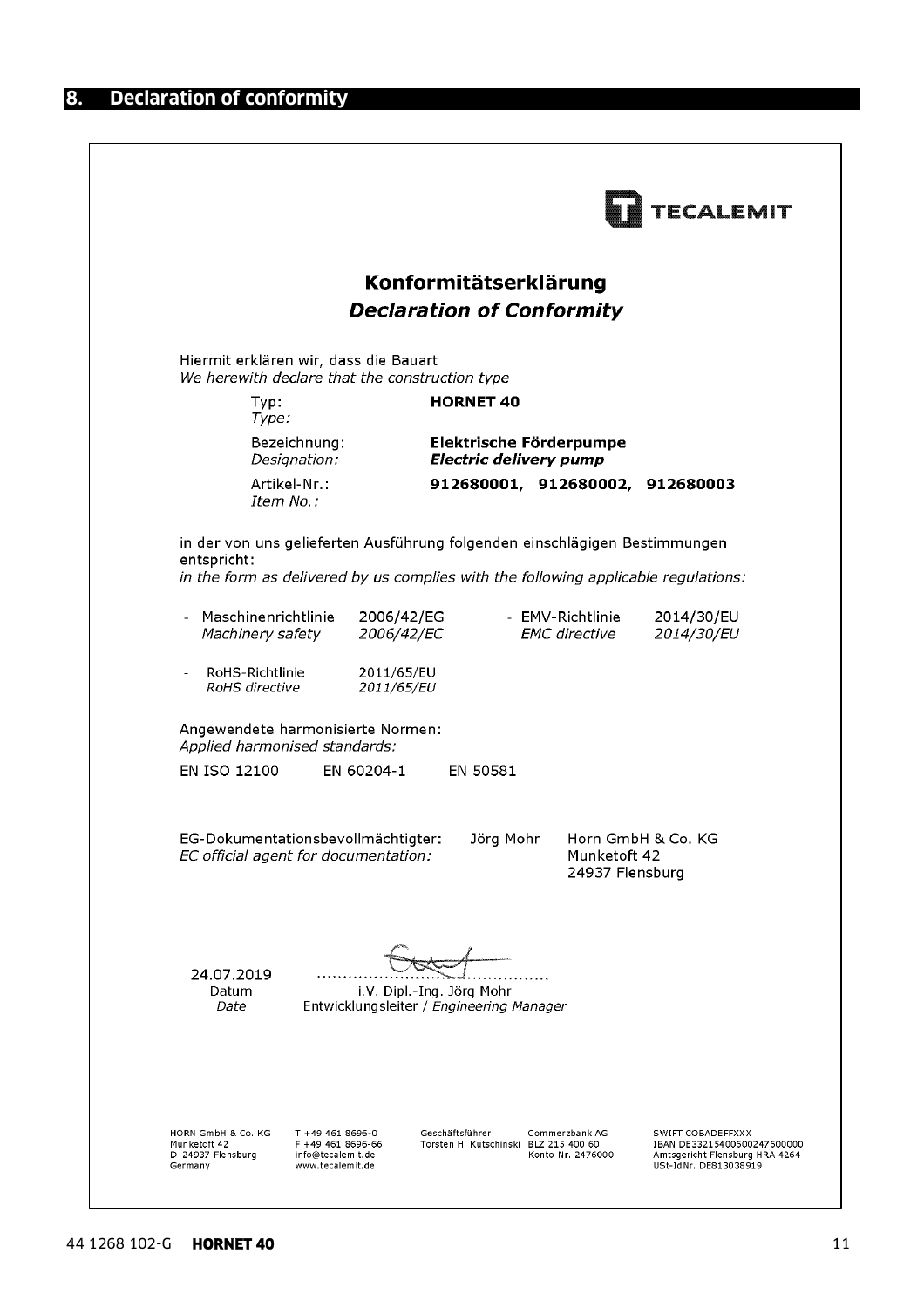|                                                                    |                                                                                         |                                                                       |                                                                                                                                                                  | <b>ECALEMIT</b>                                                                                             |
|--------------------------------------------------------------------|-----------------------------------------------------------------------------------------|-----------------------------------------------------------------------|------------------------------------------------------------------------------------------------------------------------------------------------------------------|-------------------------------------------------------------------------------------------------------------|
|                                                                    |                                                                                         | Konformitätserklärung                                                 | <b>Declaration of Conformity</b>                                                                                                                                 |                                                                                                             |
|                                                                    | Hiermit erklären wir, dass die Bauart<br>We herewith declare that the construction type |                                                                       |                                                                                                                                                                  |                                                                                                             |
| Typ:<br>Type:                                                      |                                                                                         | <b>HORNET 40</b>                                                      |                                                                                                                                                                  |                                                                                                             |
|                                                                    | Bezeichnung:<br>Designation:                                                            |                                                                       | Elektrische Förderpumpe<br><b>Electric delivery pump</b>                                                                                                         |                                                                                                             |
| Item No.:                                                          | Artikel-Nr.:                                                                            |                                                                       | 912680001, 912680002, 912680003                                                                                                                                  |                                                                                                             |
| entspricht:                                                        |                                                                                         |                                                                       | in der von uns gelieferten Ausführung folgenden einschlägigen Bestimmungen<br>in the form as delivered by us complies with the following applicable regulations: |                                                                                                             |
| - Maschinenrichtlinie<br>Machinery safety                          | 2006/42/EG<br>2006/42/EC                                                                |                                                                       | - EMV-Richtlinie<br><b>EMC</b> directive                                                                                                                         | 2014/30/EU<br>2014/30/EU                                                                                    |
| RoHS-Richtlinie<br>$\blacksquare$<br>RoHS directive                | 2011/65/EU<br>2011/65/EU                                                                |                                                                       |                                                                                                                                                                  |                                                                                                             |
| Applied harmonised standards:                                      | Angewendete harmonisierte Normen:                                                       |                                                                       |                                                                                                                                                                  |                                                                                                             |
| EN ISO 12100                                                       | EN 60204-1                                                                              | EN 50581                                                              |                                                                                                                                                                  |                                                                                                             |
|                                                                    | EG-Dokumentationsbevollmächtigter:<br>EC official agent for documentation:              | Jörg Mohr                                                             | Munketoft 42<br>24937 Flensburg                                                                                                                                  | Horn GmbH & Co. KG                                                                                          |
| 24.07.2019<br>Datum<br>Date                                        |                                                                                         | i.V. Dipl.-Ing. Jörg Mohr<br>Entwicklungsleiter / Engineering Manager |                                                                                                                                                                  |                                                                                                             |
| HORN GmbH & Co. KG<br>Munketoft 42<br>D-24937 Flensburg<br>Germany | T +49 461 8696-0<br>F +49 461 8696-66<br>info@tecalemit.de<br>www.tecalemit.de          | Geschäftsführer:<br>Torsten H. Kutschinski BLZ 215 400 60             | Commerzbank AG<br>Konto-Nr. 2476000                                                                                                                              | SWIFT COBADEFFXXX<br>IBAN DE33215400600247600000<br>Amtsgericht Flensburg HRA 4264<br>USt-IdNr. DE813038919 |